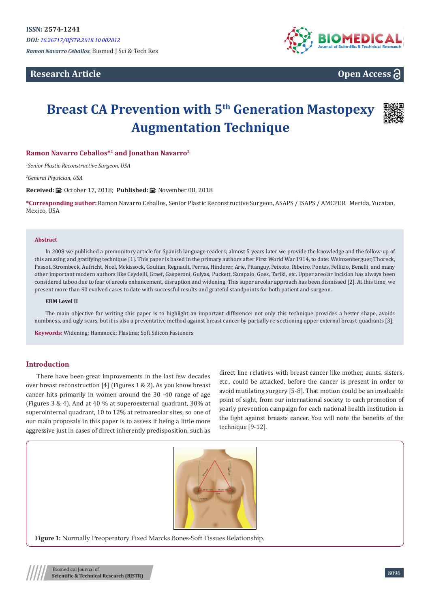*Ramon Navarro Ceballos.* Biomed J Sci & Tech Res

# **Research Article**



**Open Access**

# **Breast CA Prevention with 5th Generation Mastopexy Augmentation Technique**



*1 Senior Plastic Reconstructive Surgeon, USA*

*2 General Physician, USA*

**Received:** ■: October 17, 2018; Published: ■: November 08, 2018

**\*Corresponding author:** Ramon Navarro Ceballos, Senior Plastic Reconstructive Surgeon, ASAPS / ISAPS / AMCPER Merida, Yucatan, Mexico, IISA

#### **Abstract**

In 2008 we published a premonitory article for Spanish language readers; almost 5 years later we provide the knowledge and the follow-up of this amazing and gratifying technique [1]. This paper is based in the primary authors after First World War 1914, to date: Weinzenberguer, Thoreck, Passot, Strombeck, Aufricht, Noel, Mckissock, Goulian, Regnault, Perras, Hinderer, Arie, Pitanguy, Peixoto, Ribeiro, Pontes, Fellicio, Benelli, and many other important modern authors like Ceydelli, Graef, Gasperoni, Gulyas, Puckett, Sampaio, Goes, Tariki, etc. Upper areolar incision has always been considered taboo due to fear of areola enhancement, disruption and widening. This super areolar approach has been dismissed [2]. At this time, we present more than 90 evolved cases to date with successful results and grateful standpoints for both patient and surgeon.

#### **EBM Level II**

The main objective for writing this paper is to highlight an important difference: not only this technique provides a better shape, avoids numbness, and ugly scars, but it is also a preventative method against breast cancer by partially re-sectioning upper external breast-quadrants [3].

**Keywords:** Widening; Hammock; Plastma; Soft Silicon Fasteners

#### **Introduction**

There have been great improvements in the last few decades over breast reconstruction [4] (Figures 1 & 2). As you know breast cancer hits primarily in women around the 30 -40 range of age (Figures 3 & 4). And at 40 % at superoexternal quadrant, 30% at superointernal quadrant, 10 to 12% at retroareolar sites, so one of our main proposals in this paper is to assess if being a little more aggressive just in cases of direct inherently predisposition, such as

direct line relatives with breast cancer like mother, aunts, sisters, etc., could be attacked, before the cancer is present in order to avoid mutilating surgery [5-8]. That motion could be an invaluable point of sight, from our international society to each promotion of yearly prevention campaign for each national health institution in the fight against breasts cancer. You will note the benefits of the technique [9-12].



**Figure 1:** Normally Preoperatory Fixed Marcks Bones-Soft Tissues Relationship.

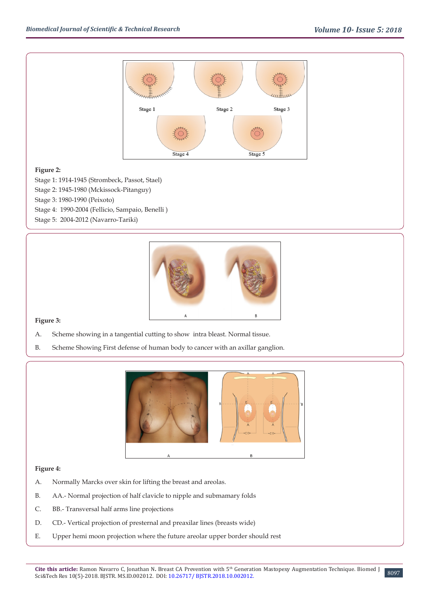

## **Figure 2:**

Stage 1: 1914-1945 (Strombeck, Passot, Stael)

- Stage 2: 1945-1980 (Mckissock-Pitanguy)
- Stage 3: 1980-1990 (Peixoto)
- Stage 4: 1990-2004 (Fellicio, Sampaio, Benelli )
- Stage 5: 2004-2012 (Navarro-Tariki)



## **Figure 3:**

- A. Scheme showing in a tangential cutting to show intra bleast. Normal tissue.
- B. Scheme Showing First defense of human body to cancer with an axillar ganglion.



## **Figure 4:**

- A. Normally Marcks over skin for lifting the breast and areolas.
- B. AA.- Normal projection of half clavicle to nipple and submamary folds
- C. BB.- Transversal half arms line projections
- D. CD.- Vertical projection of presternal and preaxilar lines (breasts wide)
- E. Upper hemi moon projection where the future areolar upper border should rest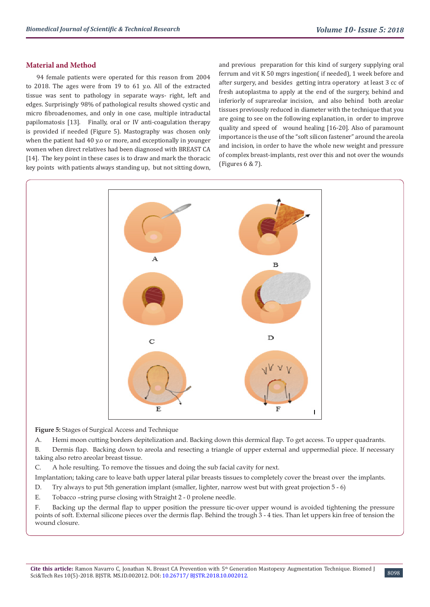### **Material and Method**

94 female patients were operated for this reason from 2004 to 2018. The ages were from 19 to 61 y.o. All of the extracted tissue was sent to pathology in separate ways- right, left and edges. Surprisingly 98% of pathological results showed cystic and micro fibroadenomes, and only in one case, multiple intraductal papilomatosis [13]. Finally, oral or IV anti-coagulation therapy is provided if needed (Figure 5). Mastography was chosen only when the patient had 40 y.o or more, and exceptionally in younger women when direct relatives had been diagnosed with BREAST CA [14]. The key point in these cases is to draw and mark the thoracic key points with patients always standing up, but not sitting down,

and previous preparation for this kind of surgery supplying oral ferrum and vit K 50 mgrs ingestion( if needed), 1 week before and after surgery, and besides getting intra operatory at least 3 cc of fresh autoplastma to apply at the end of the surgery, behind and inferiorly of suprareolar incision, and also behind both areolar tissues previously reduced in diameter with the technique that you are going to see on the following explanation, in order to improve quality and speed of wound healing [16-20]. Also of paramount importance is the use of the "soft silicon fastener" around the areola and incision, in order to have the whole new weight and pressure of complex breast-implants, rest over this and not over the wounds (Figures 6 & 7).



**Figure 5:** Stages of Surgical Access and Technique

A. Hemi moon cutting borders depitelization and. Backing down this dermical flap. To get access. To upper quadrants.

B. Dermis flap. Backing down to areola and resecting a triangle of upper external and uppermedial piece. If necessary taking also retro areolar breast tissue.

C. A hole resulting. To remove the tissues and doing the sub facial cavity for next.

Implantation; taking care to leave bath upper lateral pilar breasts tissues to completely cover the breast over the implants.

D. Try always to put 5th generation implant (smaller, lighter, narrow west but with great projection 5 - 6)

E. Tobacco –string purse closing with Straight 2 - 0 prolene needle.

F. Backing up the dermal flap to upper position the pressure tic-over upper wound is avoided tightening the pressure points of soft. External silicone pieces over the dermis flap. Behind the trough 3 - 4 ties. Than let uppers kin free of tension the wound closure.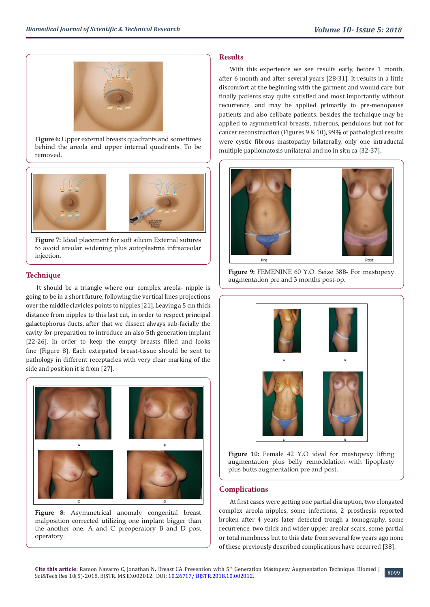

**Figure 6:** Upper external breasts quadrants and sometimes behind the areola and upper internal quadrants. To be removed.



**Figure 7:** Ideal placement for soft silicon External sutures to avoid areolar widening plus autoplastma infraareolar injection.

## **Technique**

It should be a triangle where our complex areola- nipple is going to be in a short future, following the vertical lines projections over the middle clavicles points to nipples [21]. Leaving a 5 cm thick distance from nipples to this last cut, in order to respect principal galactophorus ducts, after that we dissect always sub-facially the cavity for preparation to introduce an also 5th generation implant [22-26]. In order to keep the empty breasts filled and looks fine (Figure 8). Each extirpated breast-tissue should be sent to pathology in different receptacles with very clear marking of the side and position it is from [27].



**Figure 8:** Asymmetrical anomaly congenital breast malposition corrected utilizing one implant bigger than the another one. A and C preoperatory B and D post operatory.

## **Results**

With this experience we see results early, before 1 month, after 6 month and after several years [28-31]. It results in a little discomfort at the beginning with the garment and wound care but finally patients stay quite satisfied and most importantly without recurrence, and may be applied primarily to pre-menopause patients and also celibate patients, besides the technique may be applied to asymmetrical breasts, tuberous, pendulous but not for cancer reconstruction (Figures 9 & 10), 99% of pathological results were cystic fibrous mastopathy bilaterally, only one intraductal multiple papilomatosis unilateral and no in situ ca [32-37].







**Figure 10:** Female 42 Y.O ideal for mastopexy lifting augmentation plus belly remodelation with lipoplasty plus butts augmentation pre and post.

## **Complications**

At first cases were getting one partial disruption, two elongated complex areola nipples, some infections, 2 prosthesis reported broken after 4 years later detected trough a tomography, some recurrence, two thick and wider upper areolar scars, some partial or total numbness but to this date from several few years ago none of these previously described complications have occurred [38].

8099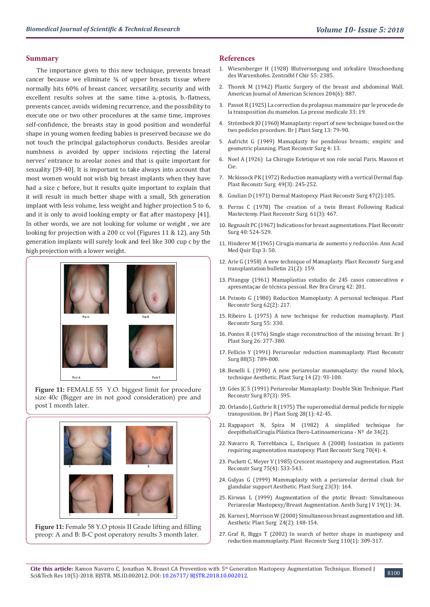#### **Summary**

The importance given to this new technique, prevents breast cancer because we eliminate  $\frac{3}{4}$  of upper breasts tissue where normally hits 60% of breast cancer, versatility, security and with excellent results solves at the same time a.-ptosis, b.-flatness, prevents cancer, avoids widening recurrence, and the possibility to execute one or two other procedures at the same time, improves self-confidence, the breasts stay in good position and wonderful shape in young women feeding babies is preserved because we do not touch the principal galactophorus conducts. Besides areolar numbness is avoided by upper incisions rejecting the lateral nerves' entrance to areolar zones and that is quite important for sexuality [39-40]. It is important to take always into account that most women would not wish big breast implants when they have had a size c before, but it results quite important to explain that it will result in much better shape with a small, 5th generation implant with less volume, less weight and higher projection 5 to 6, and it is only to avoid looking empty or flat after mastopexy [41]. In other words, we are not looking for volume or weight , we are looking for projection with a 200 cc vol (Figures 11 & 12). any 5th generation implants will surely look and feel like 300 cup c by the high projection with a lower weight.



**Figure 11:** FEMALE 55 Y.O. biggest limit for procedure size 40c (Bigger are in not good consideration) pre and post 1 month later.



**Figure 11:** Female 58 Y.O ptosis II Grade lifting and filling preop: A and B: B-C post operatory results 3 month later.

#### **References**

- 1. [Wiesenberger H \(1928\) Blutversorgung und zirkuläre Umschnedung](https://www.scirp.org/(S(351jmbntvnsjt1aadkposzje))/reference/ReferencesPapers.aspx?ReferenceID=1529521) [des Warzenhofes. Zentralbl f Chir 55: 2385.](https://www.scirp.org/(S(351jmbntvnsjt1aadkposzje))/reference/ReferencesPapers.aspx?ReferenceID=1529521)
- 2. Thorek M (1942) Plastic Surgery of the breast and abdominal Wall. American Journal of American Sciences 204(6): 887.
- 3. [Passot R \(1925\) La correction du prolapsus mammaire par le procede de](https://www.scirp.org/(S(351jmbntvnsjt1aadkposzje))/reference/ReferencesPapers.aspx?ReferenceID=1727694) [la transposition du mamelon. La presse medicale 33: 19.](https://www.scirp.org/(S(351jmbntvnsjt1aadkposzje))/reference/ReferencesPapers.aspx?ReferenceID=1727694)
- 4. [Strömbeck JO \(1960\) Mamaplasty: report of new technique based on the](https://www.ncbi.nlm.nih.gov/pubmed/13835285) [two pedicles procedure. Br J Plast Surg 13: 79-90.](https://www.ncbi.nlm.nih.gov/pubmed/13835285)
- 5. [Aufricht G \(1949\) Mamaplasty for pendolous breasts; empiric and](https://www.semanticscholar.org/paper/Mammaplasty-for-pendulous-breasts%3B-empiric-and-Aufricht/3f4f3d649a1374d0ab3959d7c29312333e0be281) [geometric planning. Plast Reconstr Surg 4: 13.](https://www.semanticscholar.org/paper/Mammaplasty-for-pendulous-breasts%3B-empiric-and-Aufricht/3f4f3d649a1374d0ab3959d7c29312333e0be281)
- 6. Noel A (1926) La Chirugie Estetique et son role social Paris. Masson et Cie.
- 7. [Mckissock PK \(1972\) Reduction mamaplasty with a vertical Dermal flap.](https://www.ncbi.nlm.nih.gov/pubmed/4551235) [Plast Reconstr Surg 49\(3\): 245-252.](https://www.ncbi.nlm.nih.gov/pubmed/4551235)
- 8. [Goulian D \(1971\) Dermal Mastopexy. Plast Reconstr Surg 47\(2\):105.](https://www.ncbi.nlm.nih.gov/pubmed/4925049)
- 9. Perras C (1978) The creation of a twin Breast Following Radical Mastectomy. Plast Reconstr Surg 61(3): 467.
- 10. [Regnault PC \(1967\) Indications for breast augmentations. Plast Reconstr](https://www.ncbi.nlm.nih.gov/pubmed/6079896) [Surg 40: 524-529.](https://www.ncbi.nlm.nih.gov/pubmed/6079896)
- 11. Hinderer M (1965) Cirugía mamaria de aumento y reducción. Ann Acad Med Quir Esp 3: 50.
- 12. [Arie G \(1958\) A new technique of Mamaplasty. Plast Reconstr Surg and](https://journals.lww.com/plasreconsurg/citation/1958/02000/a_new_technic_of_mammaplasty.26.aspx) [transplantation bulletin 21\(2\): 159.](https://journals.lww.com/plasreconsurg/citation/1958/02000/a_new_technic_of_mammaplasty.26.aspx)
- 13. [Pitanguy \(1961\) Mamaplastias estudio de 245 casos consecutivos e](https://www.scienceopen.com/document?vid=1be9e546-df86-4cf6-9767-bb4772bcece3) [apresentaçao de técnica pessoal. Rev Bra Cirurg 42: 201.](https://www.scienceopen.com/document?vid=1be9e546-df86-4cf6-9767-bb4772bcece3)
- 14. [Peixoto G \(1980\) Reduction Mamoplasty: A personal technique. Plast](https://www.ncbi.nlm.nih.gov/pubmed/7352163) [Reconstr Surg 62\(2\): 217.](https://www.ncbi.nlm.nih.gov/pubmed/7352163)
- 15. [Ribeiro L \(1975\) A new technique for reduction mamaplasty. Plast](https://www.ncbi.nlm.nih.gov/pubmed/1118493) [Reconstr Surg 55: 330.](https://www.ncbi.nlm.nih.gov/pubmed/1118493)
- 16. [Pontes R \(1976\) Single stage reconstruction of the missing breast. Br J](https://www.ncbi.nlm.nih.gov/pubmed/4759980) [Plast Surg 26: 377-380.](https://www.ncbi.nlm.nih.gov/pubmed/4759980)
- 17. [Fellicio Y \(1991\) Periareolar reduction mammaplasty. Plast Reconstr](https://www.ncbi.nlm.nih.gov/pubmed/1924564) [Surg 88\(5\): 789-800.](https://www.ncbi.nlm.nih.gov/pubmed/1924564)
- 18. [Benelli L \(1990\) A new periareolar mammaplasty: the round block,](https://www.ncbi.nlm.nih.gov/pubmed/2185619) [technique Aesthetic. Plast Surg 14 \(2\): 93-100.](https://www.ncbi.nlm.nih.gov/pubmed/2185619)
- 19. [Góes JC S \(1991\) Periareolar Mamaplasty: Double Skin Technique. Plast](https://www.researchgate.net/publication/245755747_Periareolar_mastoplasty_Double_skin_technique) [Reconstr Surg 87\(3\): 595.](https://www.researchgate.net/publication/245755747_Periareolar_mastoplasty_Double_skin_technique)
- 20. [Orlando J, Guthrie R \(1975\) The superomedial dermal pedicle for nipple](https://www.ncbi.nlm.nih.gov/pubmed/1125478) [transposition. Br J Plast Surg 28\(1\): 42-45.](https://www.ncbi.nlm.nih.gov/pubmed/1125478)
- 21. Rappaport N, Spira M (1982) A simplified technique for deepithelialCirugía Plástica Ibero-Latinoamericana - Nº de 34(2).
- 22. Navarro R, Torreblanca L, Enríquez A (2008) Ionization in patients requiring augmentation mastopexy. Plast Reconstr Surg 70(4): 4.
- 23. [Puckett C, Meyer V \(1985\) Crescent mastopexy and augmentation. Plast](https://www.ncbi.nlm.nih.gov/pubmed/3983254) [Reconstr Surg 75\(4\): 533-543.](https://www.ncbi.nlm.nih.gov/pubmed/3983254)
- 24. [Gulyas G \(1999\) Mammaplasty with a periareolar dermal cloak for](https://www.ncbi.nlm.nih.gov/pubmed/10384014) [glandular support Aesthetic. Plast Surg 23\(3\): 164.](https://www.ncbi.nlm.nih.gov/pubmed/10384014)
- 25. [Kirwan L \(1999\) Augmentation of the ptotic Breast: Simultaneous](https://www.sciencedirect.com/science/article/pii/S1090820X99800053) [Periareolar Mastopexy/Breast Augmentation. Aesth Surg J V 19\(1\): 34.](https://www.sciencedirect.com/science/article/pii/S1090820X99800053)
- 26. [Karnes J, Morrison W \(2000\) Simultaneous breast augmentation and lift.](https://www.ncbi.nlm.nih.gov/pubmed/10833238) [Aesthetic Plast Surg 24\(2\): 148-154.](https://www.ncbi.nlm.nih.gov/pubmed/10833238)
- 27. [Graf R, Biggs T \(2002\) In search of better shape in mastopexy and](https://www.ncbi.nlm.nih.gov/pubmed/12087273) [reduction mammoplasty. Plast Reconstr Surg 110\(1\): 309-317.](https://www.ncbi.nlm.nih.gov/pubmed/12087273)